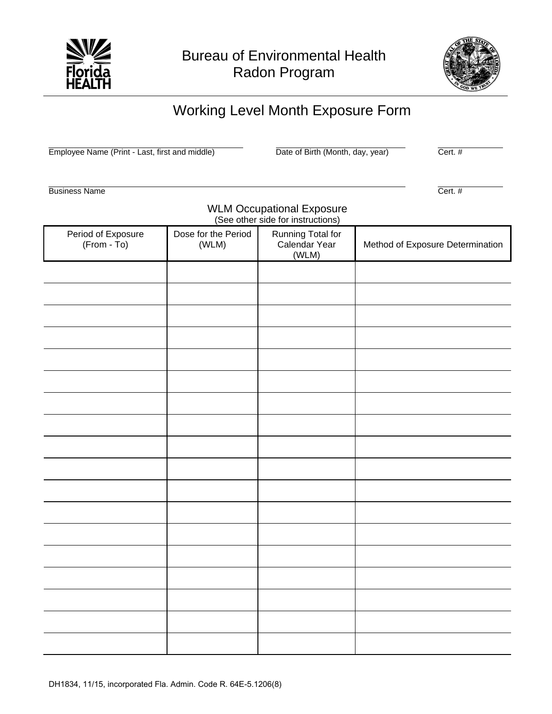



## Working Level Month Exposure Form

Employee Name (Print - Last, first and middle) Date of Birth (Month, day, year) Cert. #

Business Name Cert. #

| <b>WLM Occupational Exposure</b><br>(See other side for instructions) |                              |                                             |                                  |
|-----------------------------------------------------------------------|------------------------------|---------------------------------------------|----------------------------------|
| Period of Exposure<br>(From - To)                                     | Dose for the Period<br>(WLM) | Running Total for<br>Calendar Year<br>(WLM) | Method of Exposure Determination |
|                                                                       |                              |                                             |                                  |
|                                                                       |                              |                                             |                                  |
|                                                                       |                              |                                             |                                  |
|                                                                       |                              |                                             |                                  |
|                                                                       |                              |                                             |                                  |
|                                                                       |                              |                                             |                                  |
|                                                                       |                              |                                             |                                  |
|                                                                       |                              |                                             |                                  |
|                                                                       |                              |                                             |                                  |
|                                                                       |                              |                                             |                                  |
|                                                                       |                              |                                             |                                  |
|                                                                       |                              |                                             |                                  |
|                                                                       |                              |                                             |                                  |
|                                                                       |                              |                                             |                                  |
|                                                                       |                              |                                             |                                  |
|                                                                       |                              |                                             |                                  |
|                                                                       |                              |                                             |                                  |
|                                                                       |                              |                                             |                                  |